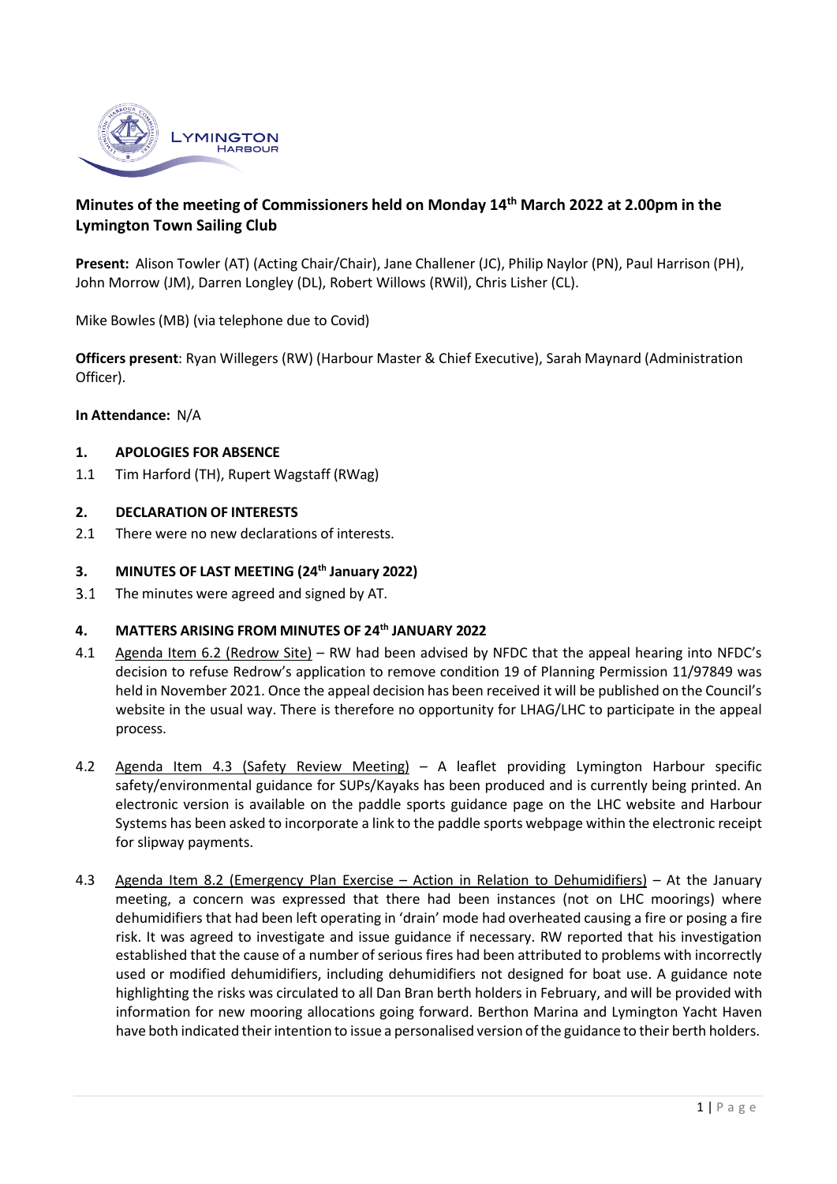

# **Minutes of the meeting of Commissioners held on Monday 14th March 2022 at 2.00pm in the Lymington Town Sailing Club**

**Present:** Alison Towler (AT) (Acting Chair/Chair), Jane Challener (JC), Philip Naylor (PN), Paul Harrison (PH), John Morrow (JM), Darren Longley (DL), Robert Willows (RWil), Chris Lisher (CL).

Mike Bowles (MB) (via telephone due to Covid)

**Officers present**: Ryan Willegers (RW) (Harbour Master & Chief Executive), Sarah Maynard (Administration Officer).

**In Attendance:** N/A

## **1. APOLOGIES FOR ABSENCE**

1.1 Tim Harford (TH), Rupert Wagstaff (RWag)

#### **2. DECLARATION OF INTERESTS**

2.1 There were no new declarations of interests.

#### **3. MINUTES OF LAST MEETING (24th January 2022)**

 $3.1$ The minutes were agreed and signed by AT.

#### **4. MATTERS ARISING FROM MINUTES OF 24th JANUARY 2022**

- 4.1 Agenda Item 6.2 (Redrow Site) RW had been advised by NFDC that the appeal hearing into NFDC's decision to refuse Redrow's application to remove condition 19 of Planning Permission 11/97849 was held in November 2021. Once the appeal decision has been received it will be published on the Council's website in the usual way. There is therefore no opportunity for LHAG/LHC to participate in the appeal process.
- 4.2 Agenda Item 4.3 (Safety Review Meeting) A leaflet providing Lymington Harbour specific safety/environmental guidance for SUPs/Kayaks has been produced and is currently being printed. An electronic version is available on the paddle sports guidance page on the LHC website and Harbour Systems has been asked to incorporate a link to the paddle sports webpage within the electronic receipt for slipway payments.
- 4.3 Agenda Item 8.2 (Emergency Plan Exercise Action in Relation to Dehumidifiers) At the January meeting, a concern was expressed that there had been instances (not on LHC moorings) where dehumidifiers that had been left operating in 'drain' mode had overheated causing a fire or posing a fire risk. It was agreed to investigate and issue guidance if necessary. RW reported that his investigation established that the cause of a number of serious fires had been attributed to problems with incorrectly used or modified dehumidifiers, including dehumidifiers not designed for boat use. A guidance note highlighting the risks was circulated to all Dan Bran berth holders in February, and will be provided with information for new mooring allocations going forward. Berthon Marina and Lymington Yacht Haven have both indicated their intention to issue a personalised version of the guidance to their berth holders.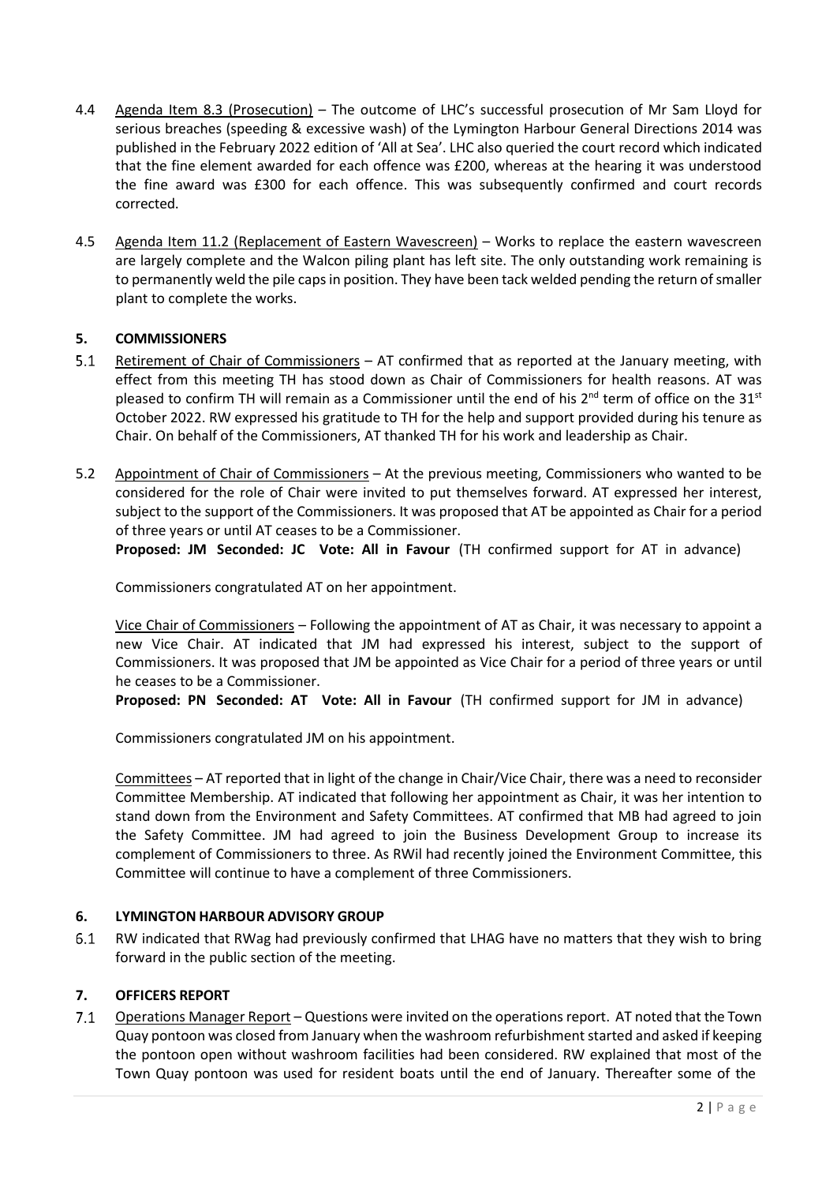- 4.4 Agenda Item 8.3 (Prosecution) The outcome of LHC's successful prosecution of Mr Sam Lloyd for serious breaches (speeding & excessive wash) of the Lymington Harbour General Directions 2014 was published in the February 2022 edition of 'All at Sea'. LHC also queried the court record which indicated that the fine element awarded for each offence was £200, whereas at the hearing it was understood the fine award was £300 for each offence. This was subsequently confirmed and court records corrected.
- 4.5 Agenda Item 11.2 (Replacement of Eastern Wavescreen) Works to replace the eastern wavescreen are largely complete and the Walcon piling plant has left site. The only outstanding work remaining is to permanently weld the pile caps in position. They have been tack welded pending the return of smaller plant to complete the works.

# **5. COMMISSIONERS**

- $5.1$ Retirement of Chair of Commissioners – AT confirmed that as reported at the January meeting, with effect from this meeting TH has stood down as Chair of Commissioners for health reasons. AT was pleased to confirm TH will remain as a Commissioner until the end of his  $2^{nd}$  term of office on the 31st October 2022. RW expressed his gratitude to TH for the help and support provided during his tenure as Chair. On behalf of the Commissioners, AT thanked TH for his work and leadership as Chair.
- 5.2 Appointment of Chair of Commissioners At the previous meeting, Commissioners who wanted to be considered for the role of Chair were invited to put themselves forward. AT expressed her interest, subject to the support of the Commissioners. It was proposed that AT be appointed as Chair for a period of three years or until AT ceases to be a Commissioner.

**Proposed: JM Seconded: JC Vote: All in Favour** (TH confirmed support for AT in advance)

Commissioners congratulated AT on her appointment.

Vice Chair of Commissioners – Following the appointment of AT as Chair, it was necessary to appoint a new Vice Chair. AT indicated that JM had expressed his interest, subject to the support of Commissioners. It was proposed that JM be appointed as Vice Chair for a period of three years or until he ceases to be a Commissioner.

**Proposed: PN Seconded: AT Vote: All in Favour** (TH confirmed support for JM in advance)

Commissioners congratulated JM on his appointment.

Committees – AT reported that in light of the change in Chair/Vice Chair, there was a need to reconsider Committee Membership. AT indicated that following her appointment as Chair, it was her intention to stand down from the Environment and Safety Committees. AT confirmed that MB had agreed to join the Safety Committee. JM had agreed to join the Business Development Group to increase its complement of Commissioners to three. As RWil had recently joined the Environment Committee, this Committee will continue to have a complement of three Commissioners.

## **6. LYMINGTON HARBOUR ADVISORY GROUP**

 $6.1$ RW indicated that RWag had previously confirmed that LHAG have no matters that they wish to bring forward in the public section of the meeting.

## **7. OFFICERS REPORT**

 $7.1$ Operations Manager Report – Questions were invited on the operations report. AT noted that the Town Quay pontoon was closed from January when the washroom refurbishmentstarted and asked if keeping the pontoon open without washroom facilities had been considered. RW explained that most of the Town Quay pontoon was used for resident boats until the end of January. Thereafter some of the